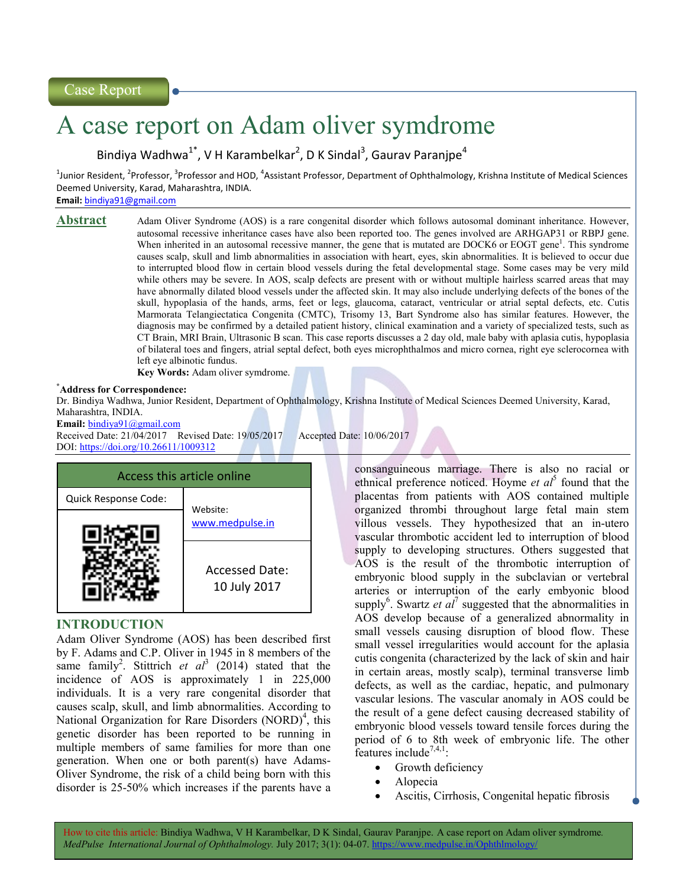# A case report on Adam oliver symdrome

Bindiya Wadhwa<sup>1\*</sup>, V H Karambelkar<sup>2</sup>, D K Sindal<sup>3</sup>, Gaurav Paranjpe<sup>4</sup>

 $^1$ Junior Resident, <sup>2</sup>Professor, <sup>3</sup>Professor and HOD, <sup>4</sup>Assistant Professor, Department of Ophthalmology, Krishna Institute of Medical Sciences Deemed University, Karad, Maharashtra, INDIA.

**Email:** bindiya91@gmail.com

**Abstract** Adam Oliver Syndrome (AOS) is a rare congenital disorder which follows autosomal dominant inheritance. However, autosomal recessive inheritance cases have also been reported too. The genes involved are ARHGAP31 or RBPJ gene. When inherited in an autosomal recessive manner, the gene that is mutated are DOCK6 or EOGT gene<sup>1</sup>. This syndrome causes scalp, skull and limb abnormalities in association with heart, eyes, skin abnormalities. It is believed to occur due to interrupted blood flow in certain blood vessels during the fetal developmental stage. Some cases may be very mild while others may be severe. In AOS, scalp defects are present with or without multiple hairless scarred areas that may have abnormally dilated blood vessels under the affected skin. It may also include underlying defects of the bones of the skull, hypoplasia of the hands, arms, feet or legs, glaucoma, cataract, ventricular or atrial septal defects, etc. Cutis Marmorata Telangiectatica Congenita (CMTC), Trisomy 13, Bart Syndrome also has similar features. However, the diagnosis may be confirmed by a detailed patient history, clinical examination and a variety of specialized tests, such as CT Brain, MRI Brain, Ultrasonic B scan. This case reports discusses a 2 day old, male baby with aplasia cutis, hypoplasia of bilateral toes and fingers, atrial septal defect, both eyes microphthalmos and micro cornea, right eye sclerocornea with left eye albinotic fundus.

**Key Words:** Adam oliver symdrome.

#### **\*Address for Correspondence:**

Dr. Bindiya Wadhwa, Junior Resident, Department of Ophthalmology, Krishna Institute of Medical Sciences Deemed University, Karad, Maharashtra, INDIA.

**Email:** bindiya91@gmail.com Received Date: 21/04/2017 Revised Date: 19/05/2017 Accepted Date: 10/06/2017 DOI: https://doi.org/10.26611/1009312



# **INTRODUCTION**

Adam Oliver Syndrome (AOS) has been described first by F. Adams and C.P. Oliver in 1945 in 8 members of the same family<sup>2</sup>. Stittrich *et al*<sup>3</sup> (2014) stated that the incidence of AOS is approximately 1 in 225,000 individuals. It is a very rare congenital disorder that causes scalp, skull, and limb abnormalities. According to National Organization for Rare Disorders  $(NORD)^4$ , this genetic disorder has been reported to be running in multiple members of same families for more than one generation. When one or both parent(s) have Adams-Oliver Syndrome, the risk of a child being born with this disorder is 25-50% which increases if the parents have a

consanguineous marriage. There is also no racial or ethnical preference noticed. Hoyme *et al*<sup>5</sup> found that the placentas from patients with AOS contained multiple organized thrombi throughout large fetal main stem villous vessels. They hypothesized that an in-utero vascular thrombotic accident led to interruption of blood supply to developing structures. Others suggested that AOS is the result of the thrombotic interruption of embryonic blood supply in the subclavian or vertebral arteries or interruption of the early embyonic blood supply<sup>6</sup>. Swartz *et*  $al^7$  suggested that the abnormalities in AOS develop because of a generalized abnormality in small vessels causing disruption of blood flow. These small vessel irregularities would account for the aplasia cutis congenita (characterized by the lack of skin and hair in certain areas, mostly scalp), terminal transverse limb defects, as well as the cardiac, hepatic, and pulmonary vascular lesions. The vascular anomaly in AOS could be the result of a gene defect causing decreased stability of embryonic blood vessels toward tensile forces during the period of 6 to 8th week of embryonic life. The other features include<sup>7,4,1</sup>:

- Growth deficiency
- Alopecia
- Ascitis, Cirrhosis, Congenital hepatic fibrosis

How to cite this article: Bindiya Wadhwa, V H Karambelkar, D K Sindal, Gaurav Paranjpe. A case report on Adam oliver symdrome*. MedPulse International Journal of Ophthalmology.* July 2017; 3(1): 04-07. https://www.medpulse.in/Ophthlmology/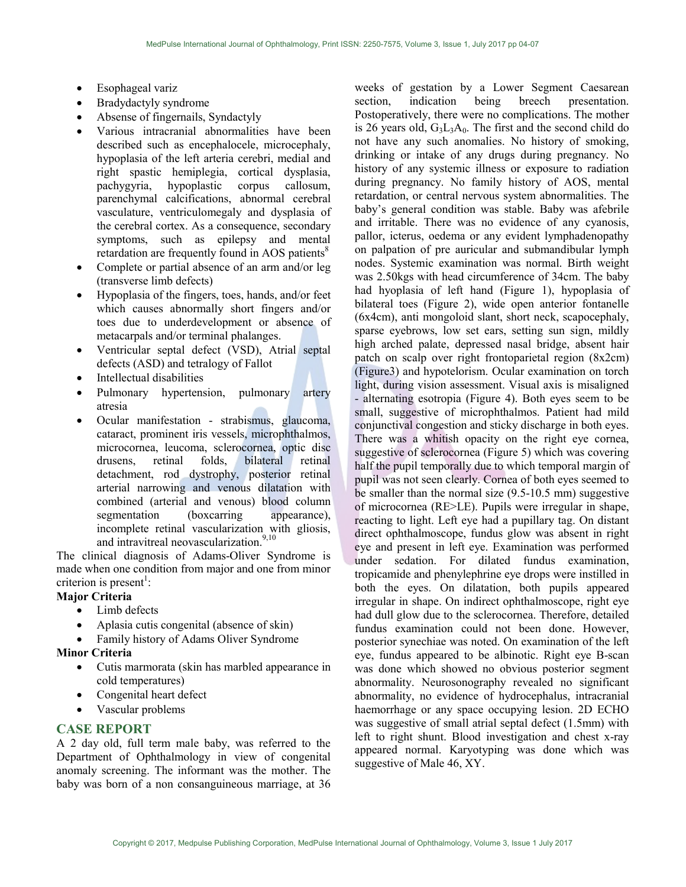- Esophageal variz
- Bradydactyly syndrome
- Absense of fingernails, Syndactyly
- Various intracranial abnormalities have been described such as encephalocele, microcephaly, hypoplasia of the left arteria cerebri, medial and right spastic hemiplegia, cortical dysplasia, pachygyria, hypoplastic corpus callosum, parenchymal calcifications, abnormal cerebral vasculature, ventriculomegaly and dysplasia of the cerebral cortex. As a consequence, secondary symptoms, such as epilepsy and mental retardation are frequently found in AOS patients<sup>8</sup>
- Complete or partial absence of an arm and/or leg (transverse limb defects)
- Hypoplasia of the fingers, toes, hands, and/or feet which causes abnormally short fingers and/or toes due to underdevelopment or absence of metacarpals and/or terminal phalanges.
- Ventricular septal defect (VSD), Atrial septal defects (ASD) and tetralogy of Fallot
- Intellectual disabilities
- Pulmonary hypertension, pulmonary artery atresia
- Ocular manifestation strabismus, glaucoma, cataract, prominent iris vessels, microphthalmos, microcornea, leucoma, sclerocornea, optic disc drusens, retinal folds, bilateral retinal detachment, rod dystrophy, posterior retinal arterial narrowing and venous dilatation with combined (arterial and venous) blood column segmentation (boxcarring appearance), incomplete retinal vascularization with gliosis, and intravitreal neovascularization.<sup>9,10</sup>

The clinical diagnosis of Adams-Oliver Syndrome is made when one condition from major and one from minor criterion is present<sup>1</sup>:

## **Major Criteria**

- Limb defects
- Aplasia cutis congenital (absence of skin)
- Family history of Adams Oliver Syndrome

## **Minor Criteria**

- Cutis marmorata (skin has marbled appearance in cold temperatures)
- Congenital heart defect
- Vascular problems

## **CASE REPORT**

A 2 day old, full term male baby, was referred to the Department of Ophthalmology in view of congenital anomaly screening. The informant was the mother. The baby was born of a non consanguineous marriage, at 36 weeks of gestation by a Lower Segment Caesarean section, indication being breech presentation. Postoperatively, there were no complications. The mother is 26 years old,  $G_3L_3A_0$ . The first and the second child do not have any such anomalies. No history of smoking, drinking or intake of any drugs during pregnancy. No history of any systemic illness or exposure to radiation during pregnancy. No family history of AOS, mental retardation, or central nervous system abnormalities. The baby's general condition was stable. Baby was afebrile and irritable. There was no evidence of any cyanosis, pallor, icterus, oedema or any evident lymphadenopathy on palpation of pre auricular and submandibular lymph nodes. Systemic examination was normal. Birth weight was 2.50kgs with head circumference of 34cm. The baby had hyoplasia of left hand (Figure 1), hypoplasia of bilateral toes (Figure 2), wide open anterior fontanelle (6x4cm), anti mongoloid slant, short neck, scapocephaly, sparse eyebrows, low set ears, setting sun sign, mildly high arched palate, depressed nasal bridge, absent hair patch on scalp over right frontoparietal region (8x2cm) (Figure3) and hypotelorism. Ocular examination on torch light, during vision assessment. Visual axis is misaligned - alternating esotropia (Figure 4). Both eyes seem to be small, suggestive of microphthalmos. Patient had mild conjunctival congestion and sticky discharge in both eyes. There was a whitish opacity on the right eye cornea, suggestive of sclerocornea (Figure 5) which was covering half the pupil temporally due to which temporal margin of pupil was not seen clearly. Cornea of both eyes seemed to be smaller than the normal size (9.5-10.5 mm) suggestive of microcornea (RE>LE). Pupils were irregular in shape, reacting to light. Left eye had a pupillary tag. On distant direct ophthalmoscope, fundus glow was absent in right eye and present in left eye. Examination was performed under sedation. For dilated fundus examination, tropicamide and phenylephrine eye drops were instilled in both the eyes. On dilatation, both pupils appeared irregular in shape. On indirect ophthalmoscope, right eye had dull glow due to the sclerocornea. Therefore, detailed fundus examination could not been done. However, posterior synechiae was noted. On examination of the left eye, fundus appeared to be albinotic. Right eye B-scan was done which showed no obvious posterior segment abnormality. Neurosonography revealed no significant abnormality, no evidence of hydrocephalus, intracranial haemorrhage or any space occupying lesion. 2D ECHO was suggestive of small atrial septal defect (1.5mm) with left to right shunt. Blood investigation and chest x-ray appeared normal. Karyotyping was done which was suggestive of Male 46, XY.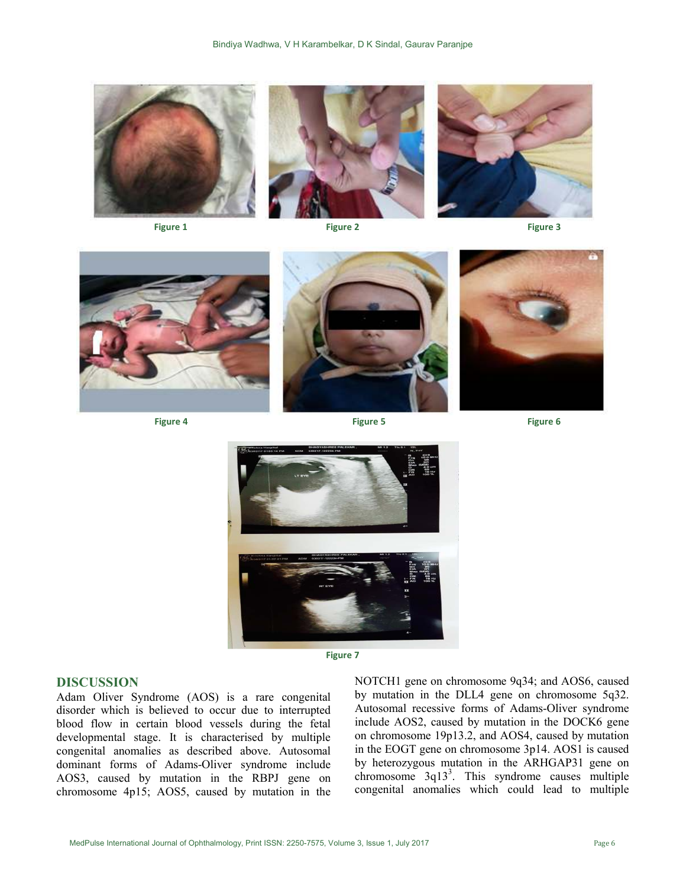

**Figure 1 Figure 2 Figure 2 Figure 2 Figure 3 Figure 3 Figure 3** 





**Figure 4 Figure 5 Figure 5 Figure 5 Figure 5 Figure 6 Figure 6 Figure 6** 







**Figure 7** 

### **DISCUSSION**

Adam Oliver Syndrome (AOS) is a rare congenital disorder which is believed to occur due to interrupted blood flow in certain blood vessels during the fetal developmental stage. It is characterised by multiple congenital anomalies as described above. Autosomal dominant forms of Adams-Oliver syndrome include AOS3, caused by mutation in the RBPJ gene on chromosome 4p15; AOS5, caused by mutation in the NOTCH1 gene on chromosome 9q34; and AOS6, caused by mutation in the DLL4 gene on chromosome 5q32. Autosomal recessive forms of Adams-Oliver syndrome include AOS2, caused by mutation in the DOCK6 gene on chromosome 19p13.2, and AOS4, caused by mutation in the EOGT gene on chromosome 3p14. AOS1 is caused by heterozygous mutation in the ARHGAP31 gene on chromosome 3q13<sup>3</sup>. This syndrome causes multiple congenital anomalies which could lead to multiple